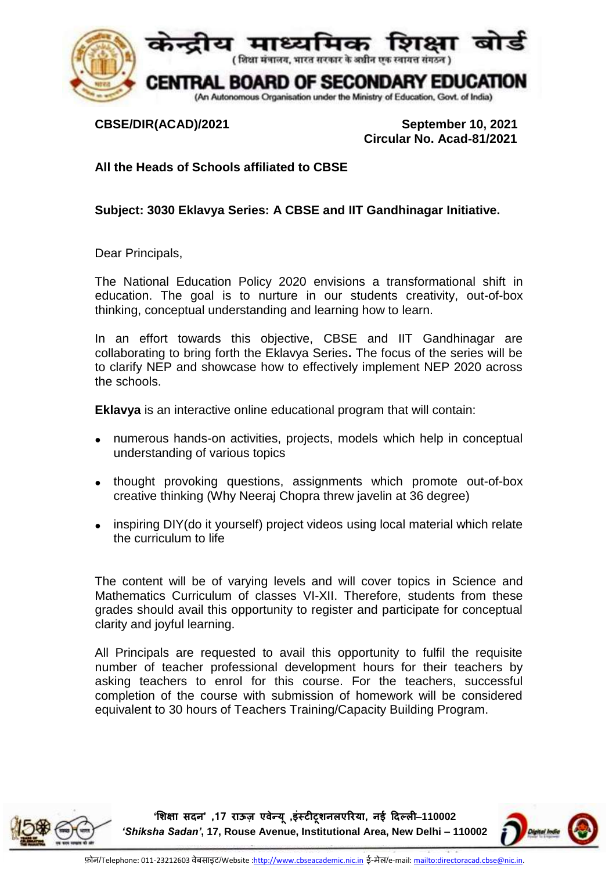

**CBSE/DIR(ACAD)/2021 September 10, 2021 Circular No. Acad-81/2021**

**All the Heads of Schools affiliated to CBSE**

**Subject: 3030 Eklavya Series: A CBSE and IIT Gandhinagar Initiative.**

Dear Principals,

The National Education Policy 2020 envisions a transformational shift in education. The goal is to nurture in our students creativity, out-of-box thinking, conceptual understanding and learning how to learn.

In an effort towards this objective, CBSE and IIT Gandhinagar are collaborating to bring forth the Eklavya Series**.** The focus of the series will be to clarify NEP and showcase how to effectively implement NEP 2020 across the schools.

**Eklavya** is an interactive online educational program that will contain:

- numerous hands-on activities, projects, models which help in conceptual understanding of various topics
- thought provoking questions, assignments which promote out-of-box creative thinking (Why Neeraj Chopra threw javelin at 36 degree)
- inspiring DIY(do it yourself) project videos using local material which relate the curriculum to life

The content will be of varying levels and will cover topics in Science and Mathematics Curriculum of classes VI-XII. Therefore, students from these grades should avail this opportunity to register and participate for conceptual clarity and joyful learning.

All Principals are requested to avail this opportunity to fulfil the requisite number of teacher professional development hours for their teachers by asking teachers to enrol for this course. For the teachers, successful completion of the course with submission of homework will be considered equivalent to 30 hours of Teachers Training/Capacity Building Program.



**'शिक्षा सदन' ,71 राऊज़ एवेन्यू ,इंस्टीटूिनलएररया, नई ददल्ली**–**110002**  *'Shiksha Sadan'***, 17, Rouse Avenue, Institutional Area, New Delhi – 110002**

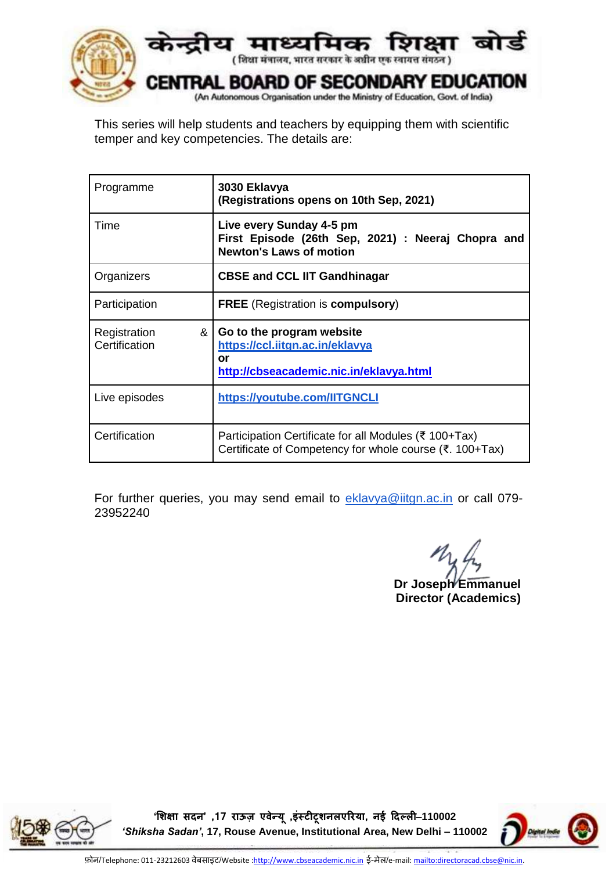

This series will help students and teachers by equipping them with scientific temper and key competencies. The details are:

| Programme                          | 3030 Eklavya<br>(Registrations opens on 10th Sep, 2021)                                                          |
|------------------------------------|------------------------------------------------------------------------------------------------------------------|
| Time                               | Live every Sunday 4-5 pm<br>First Episode (26th Sep, 2021) : Neeraj Chopra and<br><b>Newton's Laws of motion</b> |
| Organizers                         | <b>CBSE and CCL IIT Gandhinagar</b>                                                                              |
| Participation                      | <b>FREE</b> (Registration is <b>compulsory</b> )                                                                 |
| &<br>Registration<br>Certification | Go to the program website<br>https://ccl.iitgn.ac.in/eklavya<br>or<br>http://cbseacademic.nic.in/eklavya.html    |
| Live episodes                      | https://youtube.com/IITGNCLI                                                                                     |
| Certification                      | Participation Certificate for all Modules (₹ 100+Tax)<br>Certificate of Competency for whole course (₹. 100+Tax) |

For further queries, you may send email to [eklavya@iitgn.ac.in](mailto:eklavya@iitgn.ac.in) or call 079-23952240

**Dr Joseph Emmanuel Director (Academics)**



**'शिक्षा सदन' ,71 राऊज़ एवेन्यू ,इंस्टीटूिनलएररया, नई ददल्ली**–**110002**  *'Shiksha Sadan'***, 17, Rouse Avenue, Institutional Area, New Delhi – 110002**